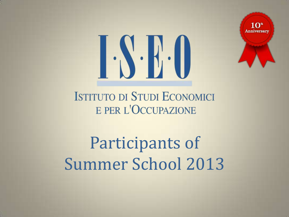

## **J.S.E.O**

**ISTITUTO DI STUDI ECONOMICI** E PER L'OCCUPAZIONE

Participants of Summer School 2013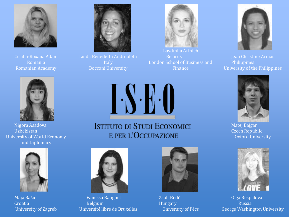

Cecilia-Roxana Adam Romania Romanian Academy



Linda Benedetta Andreoletti Italy Bocconi University



Luydmila Arinich Belarus London School of Business and Finance



Jean Christine Armas Philippines University of the Philippines



Matej Bajgar Czech Republic Oxford University



Olga Bespalova Russia George Washington University



Nigora Asadova Uzbekistan University of World Economy and Diplomacy



Maja Bašić Croatia University of Zagreb **ISTITUTO DI STUDI ECONOMICI** E PER L'OCCUPAZIONE

**1.S.E.O** 



Vanessa Baugnet Belgium Université libre de Bruxelles



Zsolt Bedő Hungary University of Pécs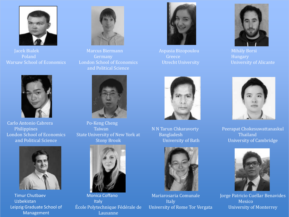

Jacek Bialek Poland Warsaw School of Economics



Carlo Antonio Cabrera Philippines London School of Economics and Political Science



Timur Chutbaev Uzbekistan Leipzig Graduate School of Management



Marcus Biermann Germany London School of Economics and Political Science



Po-Keng Cheng Taiwan State University of New York at Stony Brook



Monica Coffano Italy École Polytechnique Fédérale de Lausanne



Aspasia Bizopoulou Greece Utrecht University



N N Tarun Chkaravorty Bangladesh University of Bath



Mariarosaria Comunale Italy University of Rome Tor Vergata



Mihály Borsi Hungary University of Alicante



Peerapat Chokesuwattanaskul Thailand University of Cambridge



Jorge Patricio Cuellar Benavides Mexico University of Monterrey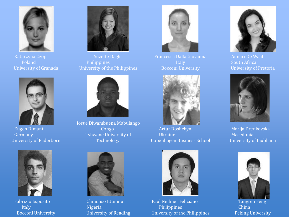

Katarzyna Czop Poland University of Granada



Eugen Dimant Germany University of Paderborn



Fabrizio Esposito Italy Bocconi University



Suzette Dagli Philippines University of the Philippines



Josue Diwambuena Mabulango Congo Tshwane University of Technology



Francesca Dalla Giovanna Italy Bocconi University



Artur Doshchyn Ukraine Copenhagen Business School



Chinonso Etumnu Nigeria University of Reading



Paul Neilmer Feliciano Philippines University of the Philippines



Annari De Waal South Africa University of Pretoria



Marija Drenkovska Macedonia University of Ljubljana



Tangren Feng China Peking University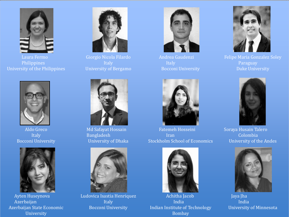

Laura Fermo Philippines University of the Philippines



Giorgio Nicola Filardo Italy University of Bergamo



Aldo Greco Italy Bocconi University



Ayten Huseynova Azerbaijan Azerbaijan State Economic University



Md Safayat Hossain Bangladesh University of Dhaka



Ludovica Isastia Henriquez Italy Bocconi University



Andrea Gaudenzi Italy Bocconi University



Fatemeh Hosseini Iran Stockholm School of Economics



Achitha Jacob India Indian Institute of Technology Bombay



Felipe Maria Gonzalez Soley Paraguay Duke University



Soraya Husain Talero Colombia University of the Andes



Jaya Jha India University of Minnesota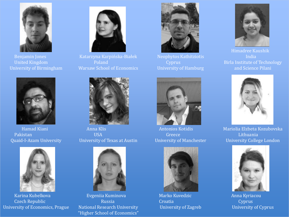

United Kingdom University of Birmingham



Hamad Kiani Pakistan Quaid-I-Azam University



Karina Kubelkova Czech Republic University of Economics, Prague



Katarzyna Karpińska-Białek Poland Warsaw School of Economics



Anna Klis USA University of Texas at Austin



Evgeniia Kuminova Russia National Research University "Higher School of Economics"



Neophytos Kathitziotis Cyprus University of Hamburg



Antonios Kotidis Greece University of Manchester



Marko Kuvedzic **Croatia** University of Zagreb



Himadree Kaushik India Birla Institute of Technology and Science Pilani



Mariolia Elzbeta Kozubovska Lithuania University College London



Anna Kyriacou **Cyprus** University of Cyprus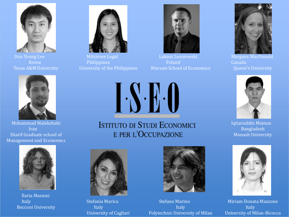

Dou Young Lee Korea Texas A&M University



Mohammad Malekshahi Iran Sharif Graduate school of Management and Economics



Ilaria Marassi Italy Bocconi University



Mitzirose Legal Philippines University of the Philippines



Lukasz Lesniewski Poland Warsaw School of Economics



Margaux MacDonald Canada Queen's University



Iqtiaruddin Mamun Bangladesh Monash University



Miriam Donata Mazzone Italy University of Milan-Bicocca



**ISTITUTO DI STUDI ECONOMICI** E PER L'OCCUPAZIONE



Stefania Marica Italy University of Cagliari



Stefano Marino Italy Polytechnic University of Milan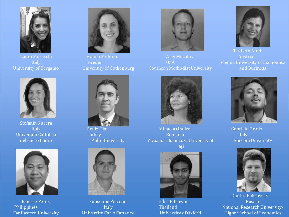

Laura Moraschi Italy University of Bergamo



Stefania Nucera Italy Università Cattolica del Sacro Cuore



Jeneree Perez Philippines Far Eastern University



Hanna Mühlrad Sweden University of Gothenburg



Deniz Okat **Turkey** Aalto University



Giuseppe Petrone Italy University Carlo Cattaneo



Alex Musatov USA Southern Methodist University



Mihaela Onofrei Romania Alexandru Ioan Cuza University of Iași



Fikri Pitsuwan Thailand University of Oxford



Elisabeth Nindl Austria Vienna University of Economics and Business



Gabriele Oriolo **Italy** Bocconi University



Dmitry Pokrovsky Russia National Research University-Higher School of Economics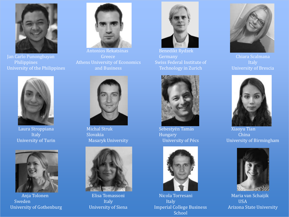

Jan Carlo Punongbayan Philippines University of the Philippines



Laura Stroppiana Italy University of Turin



Anja Tolonen Sweden University of Gothenburg



Antonios Rekatsinas Greece Athens University of Economics and Business



Michal Struk Slovakia Masaryk University



Elisa Tomassoni Italy University of Siena



Benedikt Rydzek Swiss Federal Institute of Technology in Zurich



Sebestyén Tamás Hungary University of Pécs



Nicola Torresani Italy Imperial College Business School



Chiara Scalmana Italy University of Brescia



Xiaoyu Tian China University of Birmingham



Maria van Schaijik USA Arizona State University